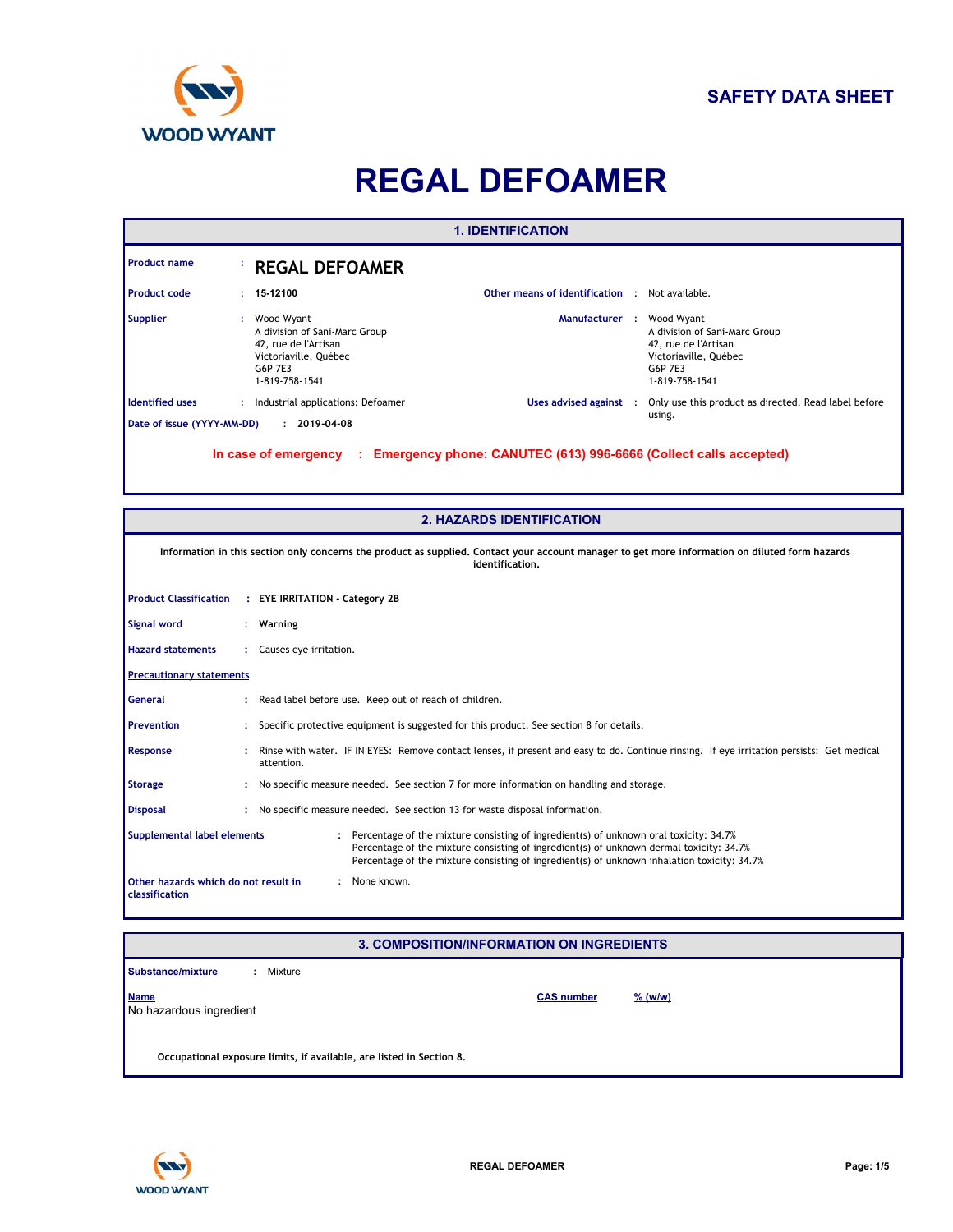

# **REGAL DEFOAMER**

|                                                                                                                                                                                                                                                                                                                  | <b>1. IDENTIFICATION</b>                                                                |                                                                                                                                                                    |  |                                                                                                                           |  |
|------------------------------------------------------------------------------------------------------------------------------------------------------------------------------------------------------------------------------------------------------------------------------------------------------------------|-----------------------------------------------------------------------------------------|--------------------------------------------------------------------------------------------------------------------------------------------------------------------|--|---------------------------------------------------------------------------------------------------------------------------|--|
| <b>Product name</b>                                                                                                                                                                                                                                                                                              |                                                                                         | <b>REGAL DEFOAMER</b>                                                                                                                                              |  |                                                                                                                           |  |
| <b>Product code</b>                                                                                                                                                                                                                                                                                              |                                                                                         | 15-12100<br><b>Other means of identification : Not available.</b>                                                                                                  |  |                                                                                                                           |  |
| <b>Supplier</b>                                                                                                                                                                                                                                                                                                  |                                                                                         | Wood Wyant<br>Manufacturer :<br>A division of Sani-Marc Group<br>42, rue de l'Artisan<br>Victoriaville, Québec<br>G6P 7E3<br>1-819-758-1541                        |  | Wood Wyant<br>A division of Sani-Marc Group<br>42, rue de l'Artisan<br>Victoriaville, Québec<br>G6P 7E3<br>1-819-758-1541 |  |
| <b>Identified uses</b>                                                                                                                                                                                                                                                                                           |                                                                                         | : Industrial applications: Defoamer<br>Uses advised against :                                                                                                      |  | Only use this product as directed. Read label before                                                                      |  |
| Date of issue (YYYY-MM-DD)                                                                                                                                                                                                                                                                                       |                                                                                         | $: 2019-04-08$                                                                                                                                                     |  | using.                                                                                                                    |  |
|                                                                                                                                                                                                                                                                                                                  |                                                                                         | : Emergency phone: CANUTEC (613) 996-6666 (Collect calls accepted)<br>In case of emergency                                                                         |  |                                                                                                                           |  |
|                                                                                                                                                                                                                                                                                                                  |                                                                                         | <b>2. HAZARDS IDENTIFICATION</b>                                                                                                                                   |  |                                                                                                                           |  |
|                                                                                                                                                                                                                                                                                                                  |                                                                                         | Information in this section only concerns the product as supplied. Contact your account manager to get more information on diluted form hazards<br>identification. |  |                                                                                                                           |  |
| <b>Product Classification</b>                                                                                                                                                                                                                                                                                    | : EYE IRRITATION - Category 2B                                                          |                                                                                                                                                                    |  |                                                                                                                           |  |
| Signal word                                                                                                                                                                                                                                                                                                      | Warning                                                                                 |                                                                                                                                                                    |  |                                                                                                                           |  |
| <b>Hazard statements</b><br>Causes eye irritation.                                                                                                                                                                                                                                                               |                                                                                         |                                                                                                                                                                    |  |                                                                                                                           |  |
| <b>Precautionary statements</b>                                                                                                                                                                                                                                                                                  |                                                                                         |                                                                                                                                                                    |  |                                                                                                                           |  |
| General                                                                                                                                                                                                                                                                                                          |                                                                                         | Read label before use. Keep out of reach of children.                                                                                                              |  |                                                                                                                           |  |
| <b>Prevention</b>                                                                                                                                                                                                                                                                                                |                                                                                         | Specific protective equipment is suggested for this product. See section 8 for details.                                                                            |  |                                                                                                                           |  |
| Response                                                                                                                                                                                                                                                                                                         |                                                                                         | Rinse with water. IF IN EYES: Remove contact lenses, if present and easy to do. Continue rinsing. If eye irritation persists: Get medical<br>attention.            |  |                                                                                                                           |  |
| Storage                                                                                                                                                                                                                                                                                                          | No specific measure needed. See section 7 for more information on handling and storage. |                                                                                                                                                                    |  |                                                                                                                           |  |
| <b>Disposal</b>                                                                                                                                                                                                                                                                                                  |                                                                                         | : No specific measure needed. See section 13 for waste disposal information.                                                                                       |  |                                                                                                                           |  |
| Supplemental label elements<br>: Percentage of the mixture consisting of ingredient(s) of unknown oral toxicity: 34.7%<br>Percentage of the mixture consisting of ingredient(s) of unknown dermal toxicity: 34.7%<br>Percentage of the mixture consisting of ingredient(s) of unknown inhalation toxicity: 34.7% |                                                                                         |                                                                                                                                                                    |  |                                                                                                                           |  |
| Other hazards which do not result in<br>: None known.<br><b>classification</b>                                                                                                                                                                                                                                   |                                                                                         |                                                                                                                                                                    |  |                                                                                                                           |  |

# **3. COMPOSITION/INFORMATION ON INGREDIENTS**

| Substance/mixture                      | Mixture                                                              |                   |                     |
|----------------------------------------|----------------------------------------------------------------------|-------------------|---------------------|
| <b>Name</b><br>No hazardous ingredient |                                                                      | <b>CAS number</b> | $\frac{9}{6}$ (w/w) |
|                                        | Occupational exposure limits, if available, are listed in Section 8. |                   |                     |

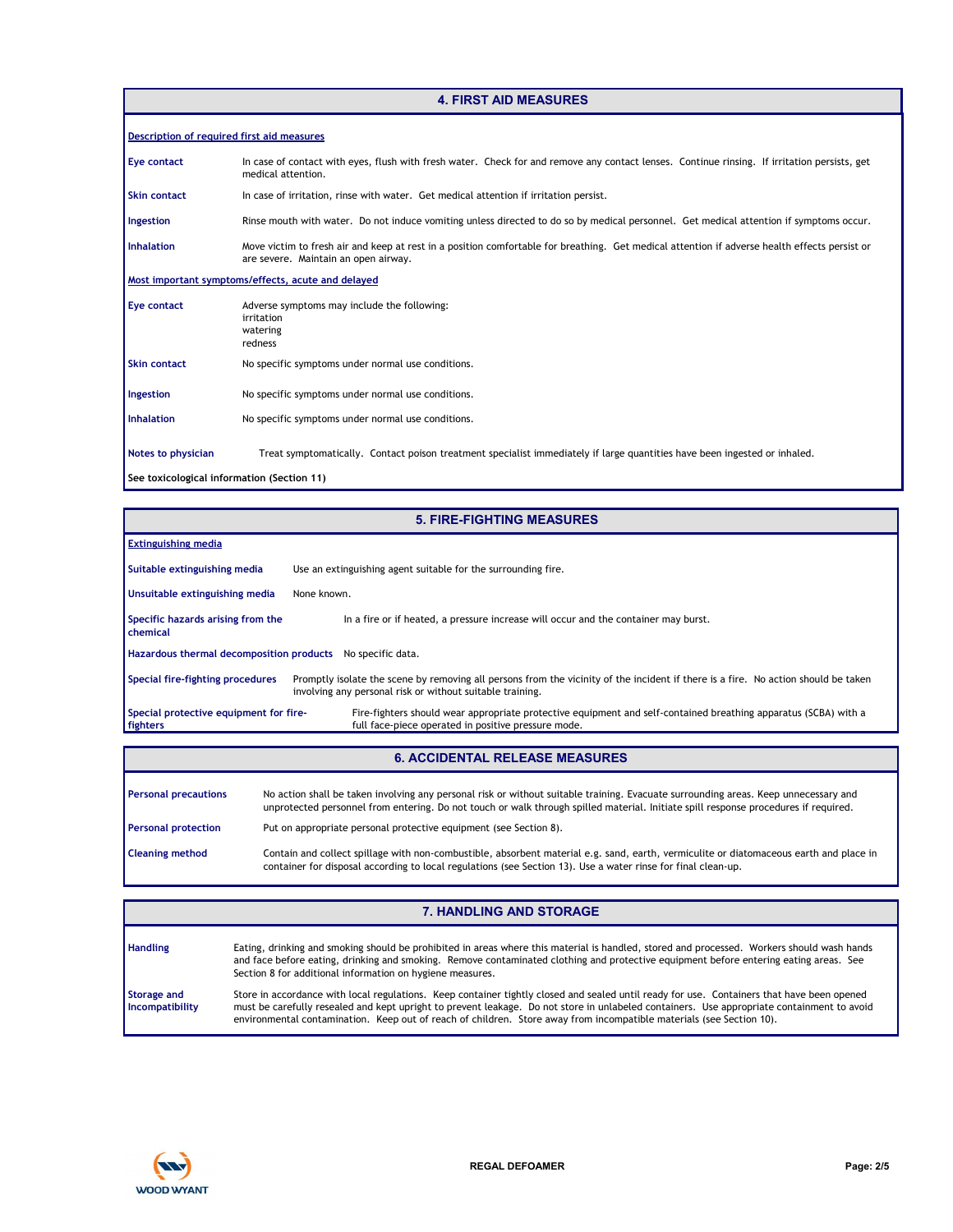### **4. FIRST AID MEASURES**

| <b>Description of required first aid measures</b>  |                                                                                                                                                                                       |  |  |  |
|----------------------------------------------------|---------------------------------------------------------------------------------------------------------------------------------------------------------------------------------------|--|--|--|
| Eye contact                                        | In case of contact with eyes, flush with fresh water. Check for and remove any contact lenses. Continue rinsing. If irritation persists, get<br>medical attention.                    |  |  |  |
| <b>Skin contact</b>                                | In case of irritation, rinse with water. Get medical attention if irritation persist.                                                                                                 |  |  |  |
| Ingestion                                          | Rinse mouth with water. Do not induce vomiting unless directed to do so by medical personnel. Get medical attention if symptoms occur.                                                |  |  |  |
| <b>Inhalation</b>                                  | Move victim to fresh air and keep at rest in a position comfortable for breathing. Get medical attention if adverse health effects persist or<br>are severe. Maintain an open airway. |  |  |  |
| Most important symptoms/effects, acute and delayed |                                                                                                                                                                                       |  |  |  |
| Eye contact                                        | Adverse symptoms may include the following:<br>irritation<br>watering<br>redness                                                                                                      |  |  |  |
| <b>Skin contact</b>                                | No specific symptoms under normal use conditions.                                                                                                                                     |  |  |  |
| Ingestion                                          | No specific symptoms under normal use conditions.                                                                                                                                     |  |  |  |
| <b>Inhalation</b>                                  | No specific symptoms under normal use conditions.                                                                                                                                     |  |  |  |
| Notes to physician                                 | Treat symptomatically. Contact poison treatment specialist immediately if large quantities have been ingested or inhaled.                                                             |  |  |  |
| See toxicological information (Section 11)         |                                                                                                                                                                                       |  |  |  |

|                                                            | <b>5. FIRE-FIGHTING MEASURES</b>                                                                                                                                                                                                                                           |  |  |  |  |  |
|------------------------------------------------------------|----------------------------------------------------------------------------------------------------------------------------------------------------------------------------------------------------------------------------------------------------------------------------|--|--|--|--|--|
| <b>Extinguishing media</b>                                 |                                                                                                                                                                                                                                                                            |  |  |  |  |  |
| Suitable extinguishing media                               | Use an extinguishing agent suitable for the surrounding fire.                                                                                                                                                                                                              |  |  |  |  |  |
| Unsuitable extinguishing media                             | None known.                                                                                                                                                                                                                                                                |  |  |  |  |  |
| Specific hazards arising from the<br>chemical              | In a fire or if heated, a pressure increase will occur and the container may burst.                                                                                                                                                                                        |  |  |  |  |  |
| Hazardous thermal decomposition products No specific data. |                                                                                                                                                                                                                                                                            |  |  |  |  |  |
| Special fire-fighting procedures                           | Promptly isolate the scene by removing all persons from the vicinity of the incident if there is a fire. No action should be taken<br>involving any personal risk or without suitable training.                                                                            |  |  |  |  |  |
| Special protective equipment for fire-<br>fighters         | Fire-fighters should wear appropriate protective equipment and self-contained breathing apparatus (SCBA) with a<br>full face-piece operated in positive pressure mode.                                                                                                     |  |  |  |  |  |
|                                                            |                                                                                                                                                                                                                                                                            |  |  |  |  |  |
| <b>6. ACCIDENTAL RELEASE MEASURES</b>                      |                                                                                                                                                                                                                                                                            |  |  |  |  |  |
| <b>Personal precautions</b>                                | No action shall be taken involving any personal risk or without suitable training. Evacuate surrounding areas. Keep unnecessary and<br>unprotected personnel from entering. Do not touch or walk through spilled material. Initiate spill response procedures if required. |  |  |  |  |  |
| <b>Personal protection</b>                                 | Put on appropriate personal protective equipment (see Section 8).                                                                                                                                                                                                          |  |  |  |  |  |

**Cleaning method** Contain and collect spillage with non-combustible, absorbent material e.g. sand, earth, vermiculite or diatomaceous earth and place in container for disposal according to local regulations (see Section 13). Use a water rinse for final clean-up.

|                                              | <b>7. HANDLING AND STORAGE</b>                                                                                                                                                                                                                                                                                                                                                                                   |
|----------------------------------------------|------------------------------------------------------------------------------------------------------------------------------------------------------------------------------------------------------------------------------------------------------------------------------------------------------------------------------------------------------------------------------------------------------------------|
| <b>Handling</b>                              | Eating, drinking and smoking should be prohibited in areas where this material is handled, stored and processed. Workers should wash hands<br>and face before eating, drinking and smoking. Remove contaminated clothing and protective equipment before entering eating areas. See<br>Section 8 for additional information on hygiene measures.                                                                 |
| <b>Storage and</b><br><b>Incompatibility</b> | Store in accordance with local regulations. Keep container tightly closed and sealed until ready for use. Containers that have been opened<br>must be carefully resealed and kept upright to prevent leakage. Do not store in unlabeled containers. Use appropriate containment to avoid<br>environmental contamination. Keep out of reach of children. Store away from incompatible materials (see Section 10). |

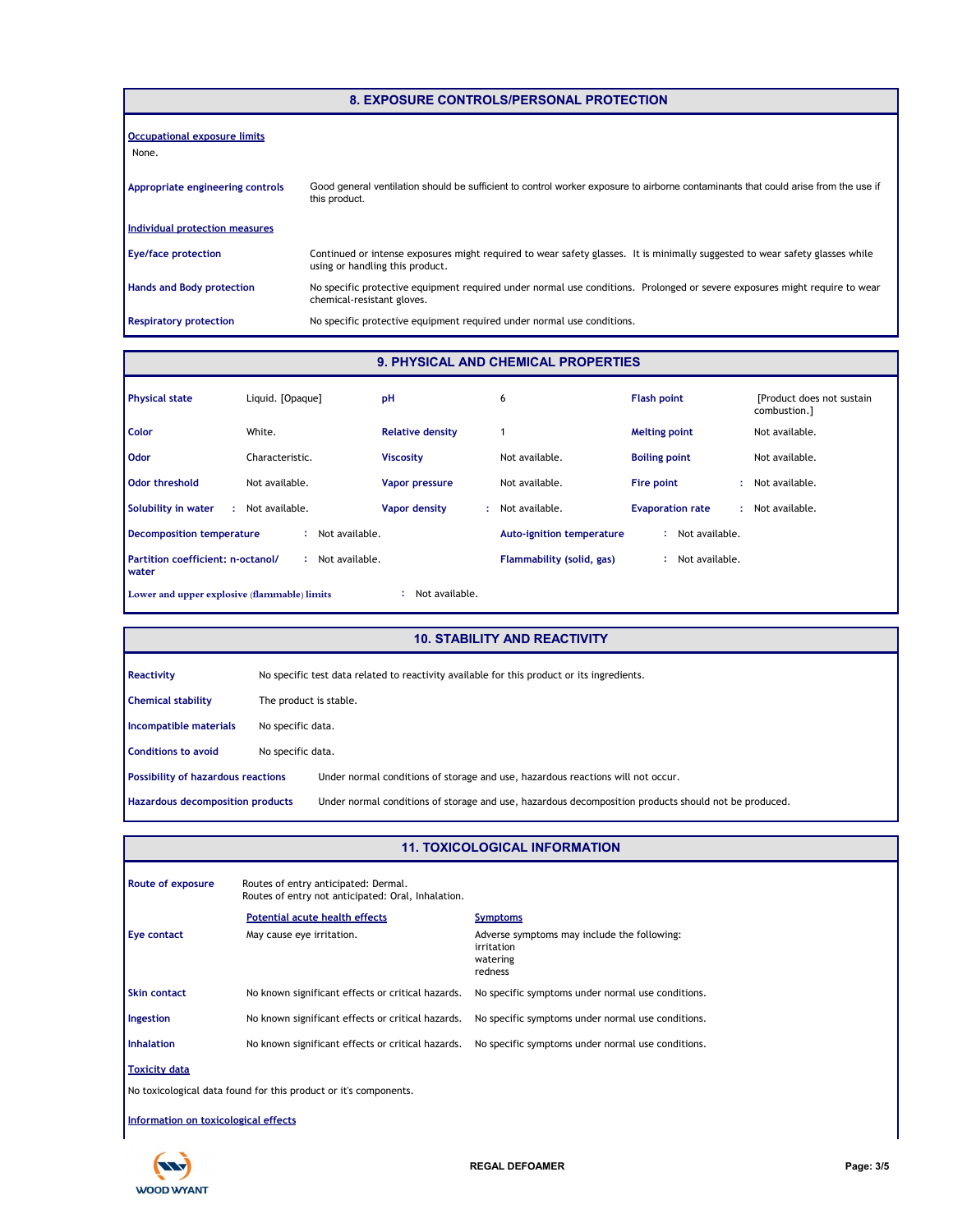| 8. EXPOSURE CONTROLS/PERSONAL PROTECTION     |                                                                                                                                                                 |  |  |
|----------------------------------------------|-----------------------------------------------------------------------------------------------------------------------------------------------------------------|--|--|
| <b>Occupational exposure limits</b><br>None. |                                                                                                                                                                 |  |  |
| Appropriate engineering controls             | Good general ventilation should be sufficient to control worker exposure to airborne contaminants that could arise from the use if<br>this product.             |  |  |
| Individual protection measures               |                                                                                                                                                                 |  |  |
| <b>Eye/face protection</b>                   | Continued or intense exposures might required to wear safety glasses. It is minimally suggested to wear safety glasses while<br>using or handling this product. |  |  |
| <b>Hands and Body protection</b>             | No specific protective equipment required under normal use conditions. Prolonged or severe exposures might require to wear<br>chemical-resistant gloves.        |  |  |
| <b>Respiratory protection</b>                | No specific protective equipment required under normal use conditions.                                                                                          |  |  |

# **9. PHYSICAL AND CHEMICAL PROPERTIES**

| <b>Physical state</b>                                          | Liquid. [Opaque]     | pH                      | 6                                | <b>Flash point</b>      | [Product does not sustain]<br>combustion.] |
|----------------------------------------------------------------|----------------------|-------------------------|----------------------------------|-------------------------|--------------------------------------------|
| <b>Color</b>                                                   | White.               | <b>Relative density</b> |                                  | <b>Melting point</b>    | Not available.                             |
| <b>Odor</b>                                                    | Characteristic.      | <b>Viscosity</b>        | Not available.                   | <b>Boiling point</b>    | Not available.                             |
| Odor threshold                                                 | Not available.       | <b>Vapor pressure</b>   | Not available.                   | Fire point<br>٠         | Not available.                             |
| Solubility in water<br>÷.                                      | Not available.       | Vapor density<br>÷.     | Not available.                   | <b>Evaporation rate</b> | Not available.                             |
| Decomposition temperature                                      | Not available.<br>÷. |                         | <b>Auto-ignition temperature</b> | Not available.          |                                            |
| Partition coefficient: n-octanol/<br><b>water</b>              | Not available.       |                         | Flammability (solid, gas)        | Not available.          |                                            |
| Not available.<br>Lower and upper explosive (flammable) limits |                      |                         |                                  |                         |                                            |

# **10. STABILITY AND REACTIVITY**

| Reactivity                                | No specific test data related to reactivity available for this product or its ingredients. |                                                                                                      |
|-------------------------------------------|--------------------------------------------------------------------------------------------|------------------------------------------------------------------------------------------------------|
| <b>Chemical stability</b>                 | The product is stable.                                                                     |                                                                                                      |
| Incompatible materials                    | No specific data.                                                                          |                                                                                                      |
| <b>Conditions to avoid</b>                | No specific data.                                                                          |                                                                                                      |
| <b>Possibility of hazardous reactions</b> |                                                                                            | Under normal conditions of storage and use, hazardous reactions will not occur.                      |
| Hazardous decomposition products          |                                                                                            | Under normal conditions of storage and use, hazardous decomposition products should not be produced. |

#### **11. TOXICOLOGICAL INFORMATION**

| Route of exposure                                                | Routes of entry anticipated: Dermal.<br>Routes of entry not anticipated: Oral, Inhalation. |                                                                                  |  |  |
|------------------------------------------------------------------|--------------------------------------------------------------------------------------------|----------------------------------------------------------------------------------|--|--|
|                                                                  | Potential acute health effects                                                             | <b>Symptoms</b>                                                                  |  |  |
| Eye contact                                                      | May cause eye irritation.                                                                  | Adverse symptoms may include the following:<br>irritation<br>watering<br>redness |  |  |
| <b>Skin contact</b>                                              | No known significant effects or critical hazards.                                          | No specific symptoms under normal use conditions.                                |  |  |
| Ingestion                                                        | No known significant effects or critical hazards.                                          | No specific symptoms under normal use conditions.                                |  |  |
| <b>Inhalation</b>                                                | No known significant effects or critical hazards.                                          | No specific symptoms under normal use conditions.                                |  |  |
| <b>Toxicity data</b>                                             |                                                                                            |                                                                                  |  |  |
| No toxicological data found for this product or it's components. |                                                                                            |                                                                                  |  |  |
| Information on toxicological effects                             |                                                                                            |                                                                                  |  |  |



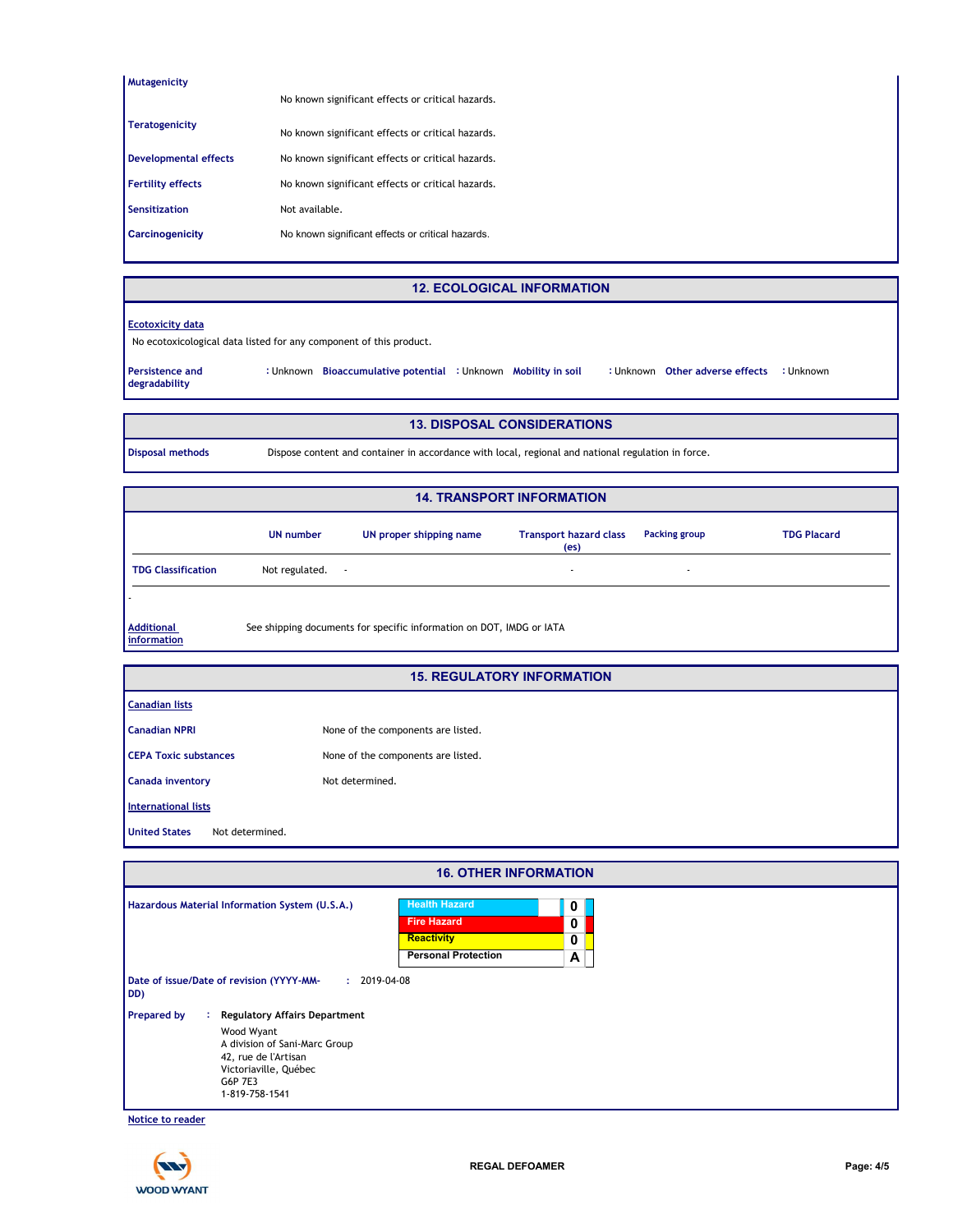| <b>Mutagenicity</b>          |                                                   |
|------------------------------|---------------------------------------------------|
|                              | No known significant effects or critical hazards. |
| <b>Teratogenicity</b>        |                                                   |
|                              | No known significant effects or critical hazards. |
| <b>Developmental effects</b> | No known significant effects or critical hazards. |
| <b>Fertility effects</b>     | No known significant effects or critical hazards. |
| Sensitization                | Not available.                                    |
| <b>Carcinogenicity</b>       | No known significant effects or critical hazards. |
|                              |                                                   |

#### **12. ECOLOGICAL INFORMATION**

**CONTER 3 CORRET EXETER** CONTERNITY CONTERNITY

#### **Ecotoxicity data**

No ecotoxicological data listed for any component of this product.

**Persistence and degradability Bioaccumulative potential Mobility in soil :** Unknown **:** Unknown **:** Unknown **:** Unknown

#### **13. DISPOSAL CONSIDERATIONS**

**Disposal methods** Dispose content and container in accordance with local, regional and national regulation in force.

|                                  |                     |                                                                      | <b>14. TRANSPORT INFORMATION</b>                   |                          |                    |
|----------------------------------|---------------------|----------------------------------------------------------------------|----------------------------------------------------|--------------------------|--------------------|
|                                  | UN number           | UN proper shipping name                                              | <b>Transport hazard class</b><br>(e <sub>s</sub> ) | <b>Packing group</b>     | <b>TDG Placard</b> |
| <b>TDG Classification</b>        | Not regulated.<br>٠ |                                                                      | $\overline{\phantom{a}}$                           | $\overline{\phantom{a}}$ |                    |
|                                  |                     |                                                                      |                                                    |                          |                    |
| <b>Additional</b><br>information |                     | See shipping documents for specific information on DOT, IMDG or IATA |                                                    |                          |                    |

| <b>15. REGULATORY INFORMATION</b>       |                                    |  |  |
|-----------------------------------------|------------------------------------|--|--|
| <b>Canadian lists</b>                   |                                    |  |  |
| <b>Canadian NPRI</b>                    | None of the components are listed. |  |  |
| <b>CEPA Toxic substances</b>            | None of the components are listed. |  |  |
| Canada inventory                        | Not determined.                    |  |  |
| International lists                     |                                    |  |  |
| <b>United States</b><br>Not determined. |                                    |  |  |

| <b>16. OTHER INFORMATION</b>                                                                                                                                                                  |                                                                                                                     |                  |
|-----------------------------------------------------------------------------------------------------------------------------------------------------------------------------------------------|---------------------------------------------------------------------------------------------------------------------|------------------|
| Hazardous Material Information System (U.S.A.)<br>Date of issue/Date of revision (YYYY-MM-<br>DD)                                                                                             | <b>Health Hazard</b><br><b>Fire Hazard</b><br><b>Reactivity</b><br><b>Personal Protection</b><br>$: 2019 - 04 - 08$ | 0<br>0<br>0<br>A |
| <b>Regulatory Affairs Department</b><br><b>Prepared by</b><br>÷.<br>Wood Wyant<br>A division of Sani-Marc Group<br>42, rue de l'Artisan<br>Victoriaville, Québec<br>G6P 7E3<br>1-819-758-1541 |                                                                                                                     |                  |

**Notice to reader**